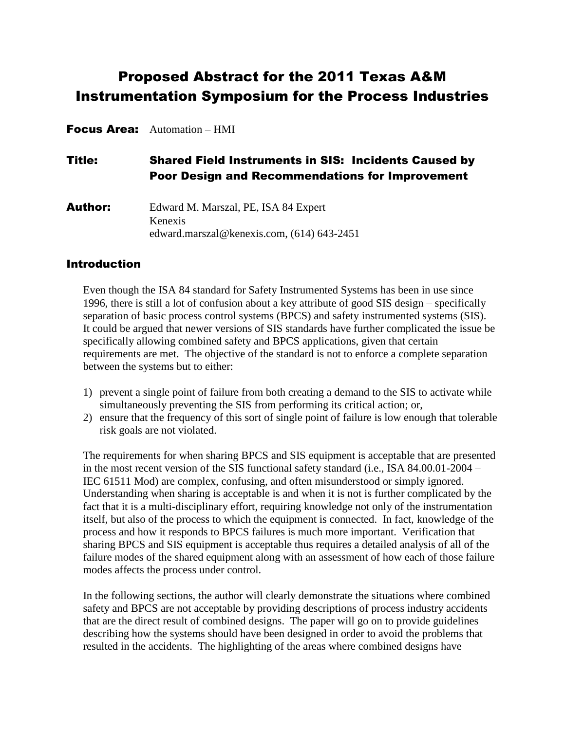# Proposed Abstract for the 2011 Texas A&M Instrumentation Symposium for the Process Industries

Focus Area: Automation – HMI

Title: Shared Field Instruments in SIS: Incidents Caused by Poor Design and Recommendations for Improvement

Author: Edward M. Marszal, PE, ISA 84 Expert Kenexis [edward.marszal@kenexis.com,](mailto:paulg@icshou.com) (614) 643-2451

#### Introduction

Even though the ISA 84 standard for Safety Instrumented Systems has been in use since 1996, there is still a lot of confusion about a key attribute of good SIS design – specifically separation of basic process control systems (BPCS) and safety instrumented systems (SIS). It could be argued that newer versions of SIS standards have further complicated the issue be specifically allowing combined safety and BPCS applications, given that certain requirements are met. The objective of the standard is not to enforce a complete separation between the systems but to either:

- 1) prevent a single point of failure from both creating a demand to the SIS to activate while simultaneously preventing the SIS from performing its critical action; or,
- 2) ensure that the frequency of this sort of single point of failure is low enough that tolerable risk goals are not violated.

The requirements for when sharing BPCS and SIS equipment is acceptable that are presented in the most recent version of the SIS functional safety standard (i.e., ISA 84.00.01-2004 – IEC 61511 Mod) are complex, confusing, and often misunderstood or simply ignored. Understanding when sharing is acceptable is and when it is not is further complicated by the fact that it is a multi-disciplinary effort, requiring knowledge not only of the instrumentation itself, but also of the process to which the equipment is connected. In fact, knowledge of the process and how it responds to BPCS failures is much more important. Verification that sharing BPCS and SIS equipment is acceptable thus requires a detailed analysis of all of the failure modes of the shared equipment along with an assessment of how each of those failure modes affects the process under control.

In the following sections, the author will clearly demonstrate the situations where combined safety and BPCS are not acceptable by providing descriptions of process industry accidents that are the direct result of combined designs. The paper will go on to provide guidelines describing how the systems should have been designed in order to avoid the problems that resulted in the accidents. The highlighting of the areas where combined designs have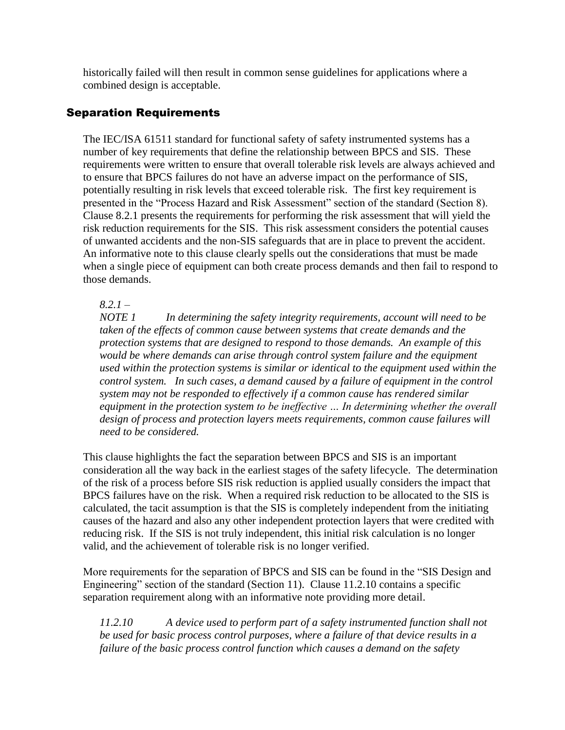historically failed will then result in common sense guidelines for applications where a combined design is acceptable.

### Separation Requirements

The IEC/ISA 61511 standard for functional safety of safety instrumented systems has a number of key requirements that define the relationship between BPCS and SIS. These requirements were written to ensure that overall tolerable risk levels are always achieved and to ensure that BPCS failures do not have an adverse impact on the performance of SIS, potentially resulting in risk levels that exceed tolerable risk. The first key requirement is presented in the "Process Hazard and Risk Assessment" section of the standard (Section 8). Clause 8.2.1 presents the requirements for performing the risk assessment that will yield the risk reduction requirements for the SIS. This risk assessment considers the potential causes of unwanted accidents and the non-SIS safeguards that are in place to prevent the accident. An informative note to this clause clearly spells out the considerations that must be made when a single piece of equipment can both create process demands and then fail to respond to those demands.

*8.2.1 –*

*NOTE 1 In determining the safety integrity requirements, account will need to be taken of the effects of common cause between systems that create demands and the protection systems that are designed to respond to those demands. An example of this would be where demands can arise through control system failure and the equipment used within the protection systems is similar or identical to the equipment used within the control system. In such cases, a demand caused by a failure of equipment in the control system may not be responded to effectively if a common cause has rendered similar equipment in the protection system to be ineffective … In determining whether the overall design of process and protection layers meets requirements, common cause failures will need to be considered.*

This clause highlights the fact the separation between BPCS and SIS is an important consideration all the way back in the earliest stages of the safety lifecycle. The determination of the risk of a process before SIS risk reduction is applied usually considers the impact that BPCS failures have on the risk. When a required risk reduction to be allocated to the SIS is calculated, the tacit assumption is that the SIS is completely independent from the initiating causes of the hazard and also any other independent protection layers that were credited with reducing risk. If the SIS is not truly independent, this initial risk calculation is no longer valid, and the achievement of tolerable risk is no longer verified.

More requirements for the separation of BPCS and SIS can be found in the "SIS Design and Engineering" section of the standard (Section 11). Clause 11.2.10 contains a specific separation requirement along with an informative note providing more detail.

*11.2.10 A device used to perform part of a safety instrumented function shall not be used for basic process control purposes, where a failure of that device results in a failure of the basic process control function which causes a demand on the safety*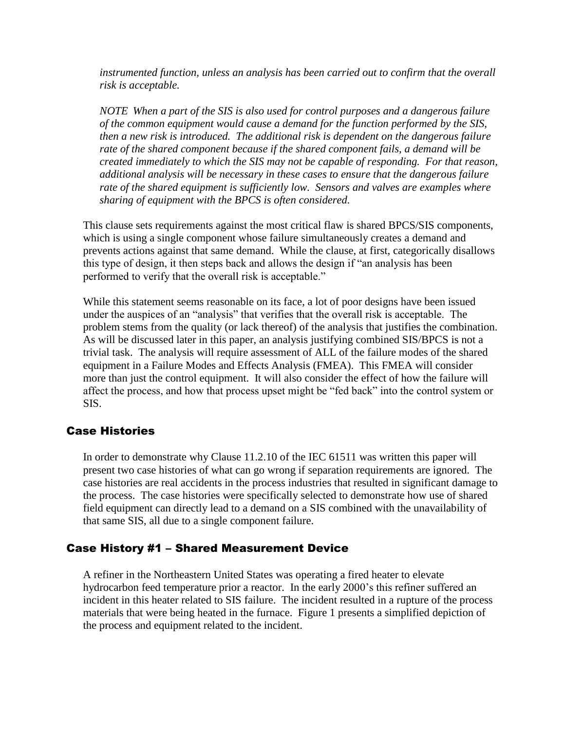*instrumented function, unless an analysis has been carried out to confirm that the overall risk is acceptable.*

*NOTE When a part of the SIS is also used for control purposes and a dangerous failure of the common equipment would cause a demand for the function performed by the SIS, then a new risk is introduced. The additional risk is dependent on the dangerous failure rate of the shared component because if the shared component fails, a demand will be created immediately to which the SIS may not be capable of responding. For that reason, additional analysis will be necessary in these cases to ensure that the dangerous failure rate of the shared equipment is sufficiently low. Sensors and valves are examples where sharing of equipment with the BPCS is often considered.*

This clause sets requirements against the most critical flaw is shared BPCS/SIS components, which is using a single component whose failure simultaneously creates a demand and prevents actions against that same demand. While the clause, at first, categorically disallows this type of design, it then steps back and allows the design if "an analysis has been performed to verify that the overall risk is acceptable."

While this statement seems reasonable on its face, a lot of poor designs have been issued under the auspices of an "analysis" that verifies that the overall risk is acceptable. The problem stems from the quality (or lack thereof) of the analysis that justifies the combination. As will be discussed later in this paper, an analysis justifying combined SIS/BPCS is not a trivial task. The analysis will require assessment of ALL of the failure modes of the shared equipment in a Failure Modes and Effects Analysis (FMEA). This FMEA will consider more than just the control equipment. It will also consider the effect of how the failure will affect the process, and how that process upset might be "fed back" into the control system or SIS.

#### Case Histories

In order to demonstrate why Clause 11.2.10 of the IEC 61511 was written this paper will present two case histories of what can go wrong if separation requirements are ignored. The case histories are real accidents in the process industries that resulted in significant damage to the process. The case histories were specifically selected to demonstrate how use of shared field equipment can directly lead to a demand on a SIS combined with the unavailability of that same SIS, all due to a single component failure.

#### Case History #1 – Shared Measurement Device

A refiner in the Northeastern United States was operating a fired heater to elevate hydrocarbon feed temperature prior a reactor. In the early 2000's this refiner suffered an incident in this heater related to SIS failure. The incident resulted in a rupture of the process materials that were being heated in the furnace. Figure 1 presents a simplified depiction of the process and equipment related to the incident.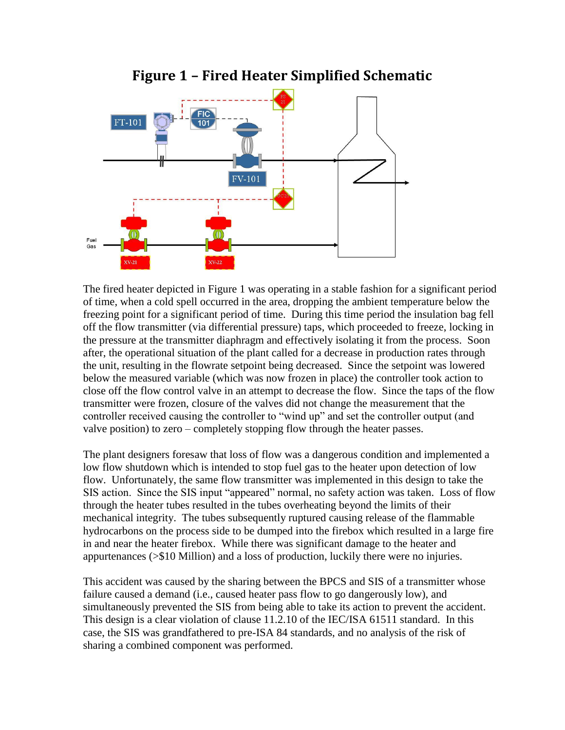

**Figure 1 – Fired Heater Simplified Schematic**

The fired heater depicted in Figure 1 was operating in a stable fashion for a significant period of time, when a cold spell occurred in the area, dropping the ambient temperature below the freezing point for a significant period of time. During this time period the insulation bag fell off the flow transmitter (via differential pressure) taps, which proceeded to freeze, locking in the pressure at the transmitter diaphragm and effectively isolating it from the process. Soon after, the operational situation of the plant called for a decrease in production rates through the unit, resulting in the flowrate setpoint being decreased. Since the setpoint was lowered below the measured variable (which was now frozen in place) the controller took action to close off the flow control valve in an attempt to decrease the flow. Since the taps of the flow transmitter were frozen, closure of the valves did not change the measurement that the controller received causing the controller to "wind up" and set the controller output (and valve position) to zero – completely stopping flow through the heater passes.

The plant designers foresaw that loss of flow was a dangerous condition and implemented a low flow shutdown which is intended to stop fuel gas to the heater upon detection of low flow. Unfortunately, the same flow transmitter was implemented in this design to take the SIS action. Since the SIS input "appeared" normal, no safety action was taken. Loss of flow through the heater tubes resulted in the tubes overheating beyond the limits of their mechanical integrity. The tubes subsequently ruptured causing release of the flammable hydrocarbons on the process side to be dumped into the firebox which resulted in a large fire in and near the heater firebox. While there was significant damage to the heater and appurtenances (>\$10 Million) and a loss of production, luckily there were no injuries.

This accident was caused by the sharing between the BPCS and SIS of a transmitter whose failure caused a demand (i.e., caused heater pass flow to go dangerously low), and simultaneously prevented the SIS from being able to take its action to prevent the accident. This design is a clear violation of clause 11.2.10 of the IEC/ISA 61511 standard. In this case, the SIS was grandfathered to pre-ISA 84 standards, and no analysis of the risk of sharing a combined component was performed.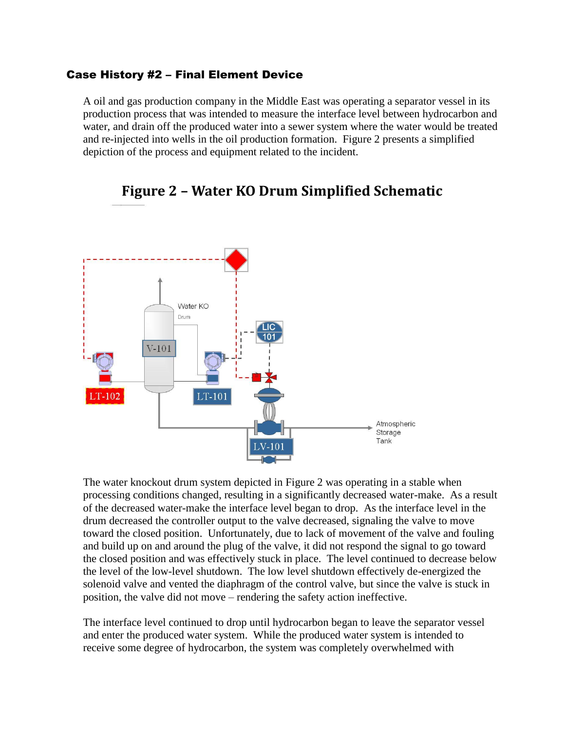#### Case History #2 – Final Element Device

A oil and gas production company in the Middle East was operating a separator vessel in its production process that was intended to measure the interface level between hydrocarbon and water, and drain off the produced water into a sewer system where the water would be treated and re-injected into wells in the oil production formation. Figure 2 presents a simplified depiction of the process and equipment related to the incident.



### **Figure 2 – Water KO Drum Simplified Schematic**

The water knockout drum system depicted in Figure 2 was operating in a stable when processing conditions changed, resulting in a significantly decreased water-make. As a result of the decreased water-make the interface level began to drop. As the interface level in the drum decreased the controller output to the valve decreased, signaling the valve to move toward the closed position. Unfortunately, due to lack of movement of the valve and fouling and build up on and around the plug of the valve, it did not respond the signal to go toward the closed position and was effectively stuck in place. The level continued to decrease below the level of the low-level shutdown. The low level shutdown effectively de-energized the solenoid valve and vented the diaphragm of the control valve, but since the valve is stuck in position, the valve did not move – rendering the safety action ineffective.

The interface level continued to drop until hydrocarbon began to leave the separator vessel and enter the produced water system. While the produced water system is intended to receive some degree of hydrocarbon, the system was completely overwhelmed with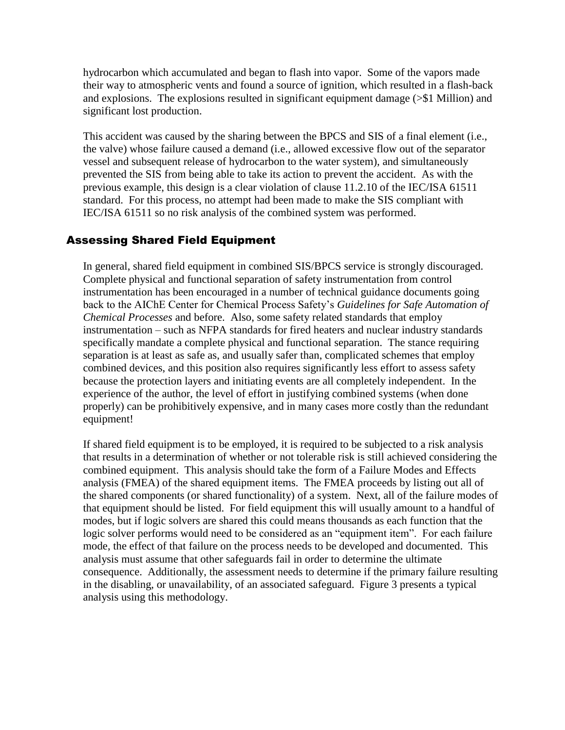hydrocarbon which accumulated and began to flash into vapor. Some of the vapors made their way to atmospheric vents and found a source of ignition, which resulted in a flash-back and explosions. The explosions resulted in significant equipment damage (>\$1 Million) and significant lost production.

This accident was caused by the sharing between the BPCS and SIS of a final element (i.e., the valve) whose failure caused a demand (i.e., allowed excessive flow out of the separator vessel and subsequent release of hydrocarbon to the water system), and simultaneously prevented the SIS from being able to take its action to prevent the accident. As with the previous example, this design is a clear violation of clause 11.2.10 of the IEC/ISA 61511 standard. For this process, no attempt had been made to make the SIS compliant with IEC/ISA 61511 so no risk analysis of the combined system was performed.

#### Assessing Shared Field Equipment

In general, shared field equipment in combined SIS/BPCS service is strongly discouraged. Complete physical and functional separation of safety instrumentation from control instrumentation has been encouraged in a number of technical guidance documents going back to the AIChE Center for Chemical Process Safety's *Guidelines for Safe Automation of Chemical Processes* and before. Also, some safety related standards that employ instrumentation – such as NFPA standards for fired heaters and nuclear industry standards specifically mandate a complete physical and functional separation. The stance requiring separation is at least as safe as, and usually safer than, complicated schemes that employ combined devices, and this position also requires significantly less effort to assess safety because the protection layers and initiating events are all completely independent. In the experience of the author, the level of effort in justifying combined systems (when done properly) can be prohibitively expensive, and in many cases more costly than the redundant equipment!

If shared field equipment is to be employed, it is required to be subjected to a risk analysis that results in a determination of whether or not tolerable risk is still achieved considering the combined equipment. This analysis should take the form of a Failure Modes and Effects analysis (FMEA) of the shared equipment items. The FMEA proceeds by listing out all of the shared components (or shared functionality) of a system. Next, all of the failure modes of that equipment should be listed. For field equipment this will usually amount to a handful of modes, but if logic solvers are shared this could means thousands as each function that the logic solver performs would need to be considered as an "equipment item". For each failure mode, the effect of that failure on the process needs to be developed and documented. This analysis must assume that other safeguards fail in order to determine the ultimate consequence. Additionally, the assessment needs to determine if the primary failure resulting in the disabling, or unavailability, of an associated safeguard. Figure 3 presents a typical analysis using this methodology.